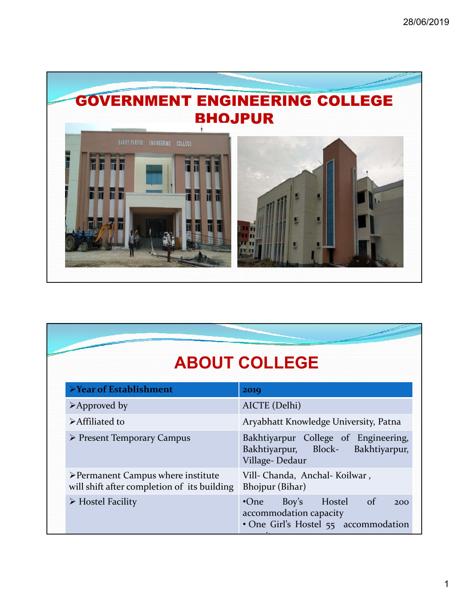

## **ABOUT COLLEGE**

| <b>≻Year of Establishment</b>                                                                    | 2019                                                                                                       |
|--------------------------------------------------------------------------------------------------|------------------------------------------------------------------------------------------------------------|
| $\triangleright$ Approved by                                                                     | AICTE (Delhi)                                                                                              |
| <b>≻Affiliated to</b>                                                                            | Aryabhatt Knowledge University, Patna                                                                      |
| $\triangleright$ Present Temporary Campus                                                        | Bakhtiyarpur College of Engineering,<br>Bakhtiyarpur, Block- Bakhtiyarpur,<br>Village-Dedaur               |
| $\triangleright$ Permanent Campus where institute<br>will shift after completion of its building | Vill- Chanda, Anchal- Koilwar,<br>Bhojpur (Bihar)                                                          |
| $\triangleright$ Hostel Facility                                                                 | Hostel of<br>Boy's<br>$\cdot$ One<br>200<br>accommodation capacity<br>• One Girl's Hostel 55 accommodation |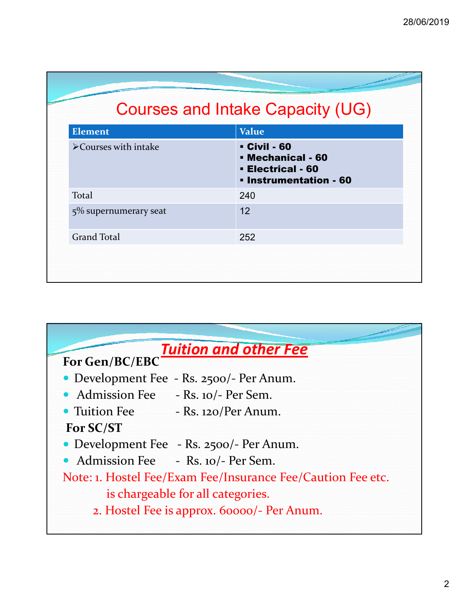## Courses and Intake Capacity (UG)

| <b>Element</b>                       | <b>Value</b>                                                                                        |
|--------------------------------------|-----------------------------------------------------------------------------------------------------|
| $\triangleright$ Courses with intake | <b>- Civil - 60</b><br>- Mechanical - 60<br><b>Electrical - 60</b><br><b>· Instrumentation - 60</b> |
| Total                                | 240                                                                                                 |
| $5\%$ supernumerary seat             | 12                                                                                                  |
| <b>Grand Total</b>                   | 252                                                                                                 |
|                                      |                                                                                                     |
|                                      |                                                                                                     |

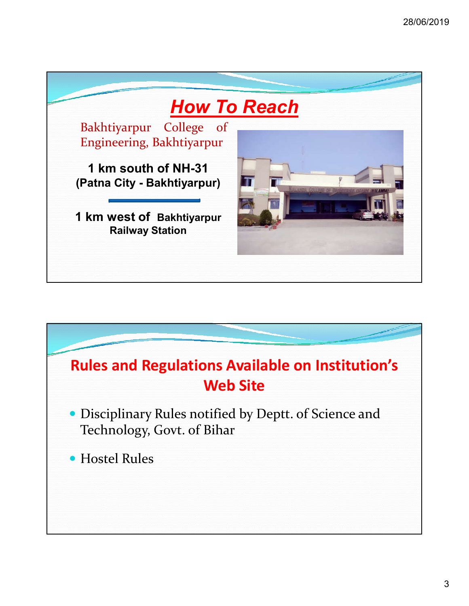